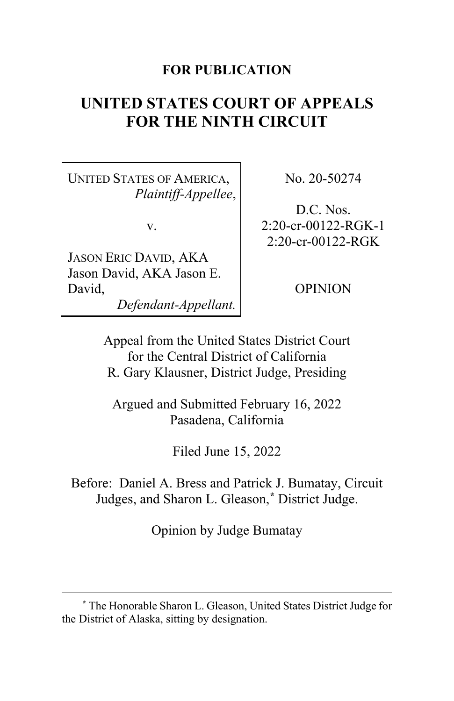### **FOR PUBLICATION**

# **UNITED STATES COURT OF APPEALS FOR THE NINTH CIRCUIT**

UNITED STATES OF AMERICA, *Plaintiff-Appellee*,

v.

JASON ERIC DAVID, AKA Jason David, AKA Jason E. David, *Defendant-Appellant.* No. 20-50274

D.C. Nos. 2:20-cr-00122-RGK-1 2:20-cr-00122-RGK

OPINION

Appeal from the United States District Court for the Central District of California R. Gary Klausner, District Judge, Presiding

Argued and Submitted February 16, 2022 Pasadena, California

Filed June 15, 2022

Before: Daniel A. Bress and Patrick J. Bumatay, Circuit Judges, and Sharon L. Gleason, **[\\*](#page-0-0)** District Judge.

Opinion by Judge Bumatay

<span id="page-0-0"></span>**<sup>\*</sup>** The Honorable Sharon L. Gleason, United States District Judge for the District of Alaska, sitting by designation.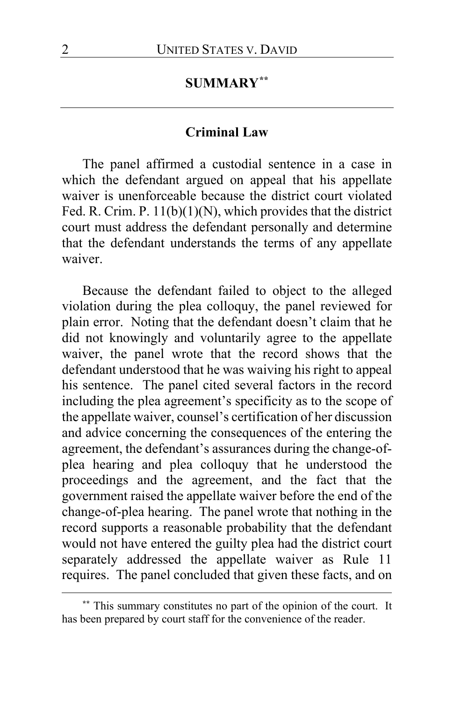# **SUMMARY[\\*\\*](#page-1-0)**

#### **Criminal Law**

The panel affirmed a custodial sentence in a case in which the defendant argued on appeal that his appellate waiver is unenforceable because the district court violated Fed. R. Crim. P. 11(b)(1)(N), which provides that the district court must address the defendant personally and determine that the defendant understands the terms of any appellate waiver.

Because the defendant failed to object to the alleged violation during the plea colloquy, the panel reviewed for plain error. Noting that the defendant doesn't claim that he did not knowingly and voluntarily agree to the appellate waiver, the panel wrote that the record shows that the defendant understood that he was waiving his right to appeal his sentence. The panel cited several factors in the record including the plea agreement's specificity as to the scope of the appellate waiver, counsel's certification of her discussion and advice concerning the consequences of the entering the agreement, the defendant's assurances during the change-ofplea hearing and plea colloquy that he understood the proceedings and the agreement, and the fact that the government raised the appellate waiver before the end of the change-of-plea hearing. The panel wrote that nothing in the record supports a reasonable probability that the defendant would not have entered the guilty plea had the district court separately addressed the appellate waiver as Rule 11 requires. The panel concluded that given these facts, and on

<span id="page-1-0"></span>**<sup>\*\*</sup>** This summary constitutes no part of the opinion of the court. It has been prepared by court staff for the convenience of the reader.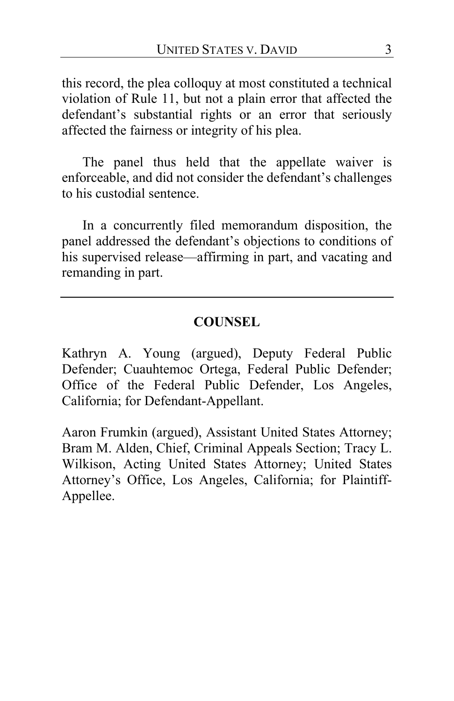this record, the plea colloquy at most constituted a technical violation of Rule 11, but not a plain error that affected the defendant's substantial rights or an error that seriously affected the fairness or integrity of his plea.

The panel thus held that the appellate waiver is enforceable, and did not consider the defendant's challenges to his custodial sentence.

In a concurrently filed memorandum disposition, the panel addressed the defendant's objections to conditions of his supervised release—affirming in part, and vacating and remanding in part.

# **COUNSEL**

Kathryn A. Young (argued), Deputy Federal Public Defender; Cuauhtemoc Ortega, Federal Public Defender; Office of the Federal Public Defender, Los Angeles, California; for Defendant-Appellant.

Aaron Frumkin (argued), Assistant United States Attorney; Bram M. Alden, Chief, Criminal Appeals Section; Tracy L. Wilkison, Acting United States Attorney; United States Attorney's Office, Los Angeles, California; for Plaintiff-Appellee.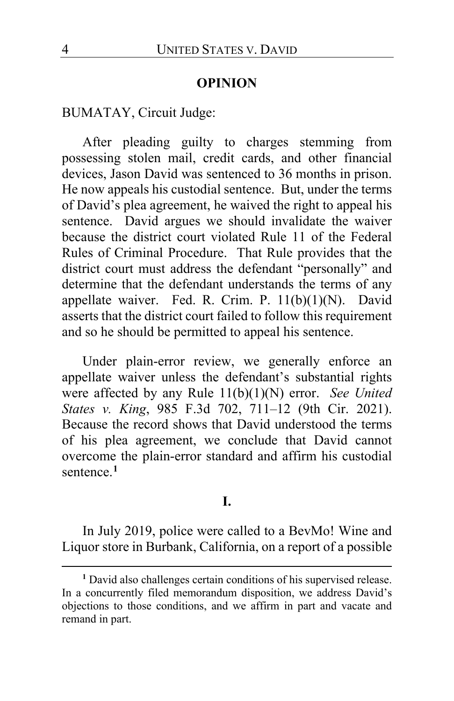#### **OPINION**

### BUMATAY, Circuit Judge:

After pleading guilty to charges stemming from possessing stolen mail, credit cards, and other financial devices, Jason David was sentenced to 36 months in prison. He now appeals his custodial sentence. But, under the terms of David's plea agreement, he waived the right to appeal his sentence. David argues we should invalidate the waiver because the district court violated Rule 11 of the Federal Rules of Criminal Procedure. That Rule provides that the district court must address the defendant "personally" and determine that the defendant understands the terms of any appellate waiver. Fed. R. Crim. P. 11(b)(1)(N). David asserts that the district court failed to follow this requirement and so he should be permitted to appeal his sentence.

Under plain-error review, we generally enforce an appellate waiver unless the defendant's substantial rights were affected by any Rule 11(b)(1)(N) error. *See United States v. King*, 985 F.3d 702, 711–12 (9th Cir. 2021). Because the record shows that David understood the terms of his plea agreement, we conclude that David cannot overcome the plain-error standard and affirm his custodial sentence.**[1](#page-3-0)**

#### **I.**

In July 2019, police were called to a BevMo! Wine and Liquor store in Burbank, California, on a report of a possible

<span id="page-3-0"></span>**<sup>1</sup>** David also challenges certain conditions of his supervised release. In a concurrently filed memorandum disposition, we address David's objections to those conditions, and we affirm in part and vacate and remand in part.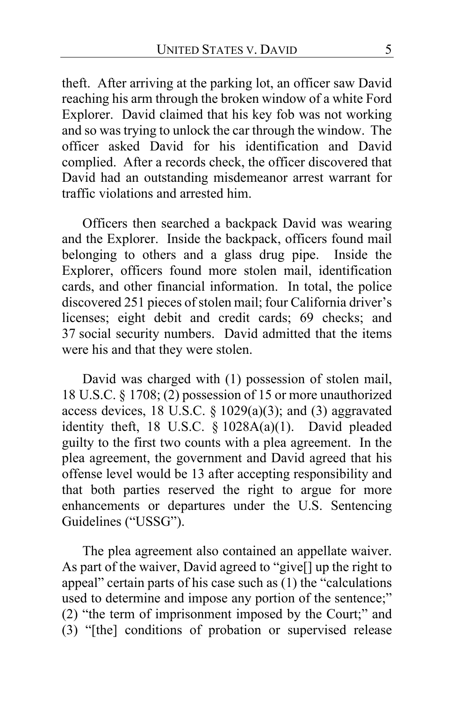theft. After arriving at the parking lot, an officer saw David reaching his arm through the broken window of a white Ford Explorer. David claimed that his key fob was not working and so was trying to unlock the car through the window. The officer asked David for his identification and David complied. After a records check, the officer discovered that David had an outstanding misdemeanor arrest warrant for traffic violations and arrested him.

Officers then searched a backpack David was wearing and the Explorer. Inside the backpack, officers found mail belonging to others and a glass drug pipe. Inside the Explorer, officers found more stolen mail, identification cards, and other financial information. In total, the police discovered 251 pieces of stolen mail; four California driver's licenses; eight debit and credit cards; 69 checks; and 37 social security numbers. David admitted that the items were his and that they were stolen.

David was charged with (1) possession of stolen mail, 18 U.S.C. § 1708; (2) possession of 15 or more unauthorized access devices, 18 U.S.C.  $\S$  1029(a)(3); and (3) aggravated identity theft, 18 U.S.C. § 1028A(a)(1). David pleaded guilty to the first two counts with a plea agreement. In the plea agreement, the government and David agreed that his offense level would be 13 after accepting responsibility and that both parties reserved the right to argue for more enhancements or departures under the U.S. Sentencing Guidelines ("USSG").

The plea agreement also contained an appellate waiver. As part of the waiver, David agreed to "give[] up the right to appeal" certain parts of his case such as (1) the "calculations used to determine and impose any portion of the sentence;" (2) "the term of imprisonment imposed by the Court;" and (3) "[the] conditions of probation or supervised release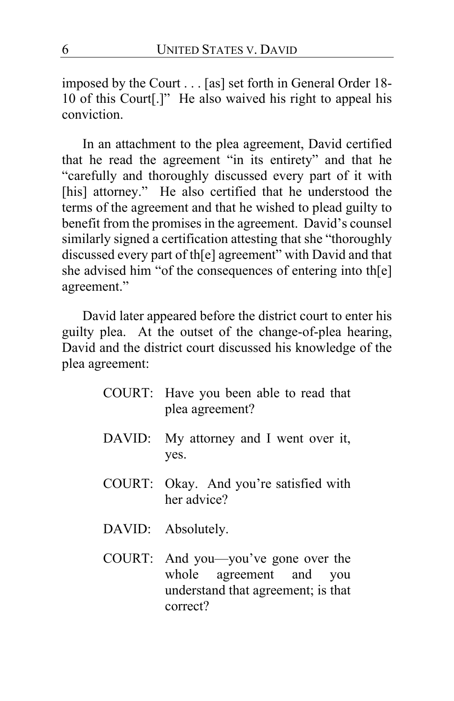imposed by the Court . . . [as] set forth in General Order 18- 10 of this Court[.]" He also waived his right to appeal his conviction.

In an attachment to the plea agreement, David certified that he read the agreement "in its entirety" and that he "carefully and thoroughly discussed every part of it with [his] attorney." He also certified that he understood the terms of the agreement and that he wished to plead guilty to benefit from the promises in the agreement. David's counsel similarly signed a certification attesting that she "thoroughly discussed every part of th[e] agreement" with David and that she advised him "of the consequences of entering into th[e] agreement."

David later appeared before the district court to enter his guilty plea. At the outset of the change-of-plea hearing, David and the district court discussed his knowledge of the plea agreement:

|        | COURT: Have you been able to read that<br>plea agreement?                                                 |
|--------|-----------------------------------------------------------------------------------------------------------|
|        | DAVID: My attorney and I went over it,<br>yes.                                                            |
|        | COURT: Okay. And you're satisfied with<br>her advice?                                                     |
|        | DAVID: Absolutely.                                                                                        |
| COURT: | And you—you've gone over the<br>whole agreement and you<br>understand that agreement; is that<br>correct? |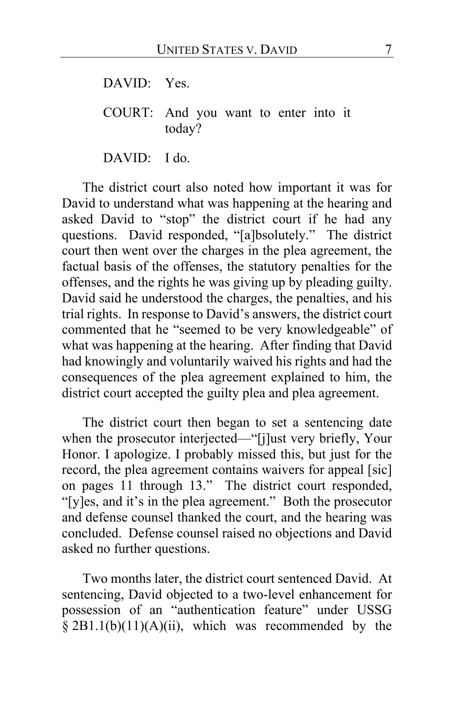DAVID: Yes.

COURT: And you want to enter into it today?

DAVID: I do.

The district court also noted how important it was for David to understand what was happening at the hearing and asked David to "stop" the district court if he had any questions. David responded, "[a]bsolutely." The district court then went over the charges in the plea agreement, the factual basis of the offenses, the statutory penalties for the offenses, and the rights he was giving up by pleading guilty. David said he understood the charges, the penalties, and his trial rights. In response to David's answers, the district court commented that he "seemed to be very knowledgeable" of what was happening at the hearing. After finding that David had knowingly and voluntarily waived his rights and had the consequences of the plea agreement explained to him, the district court accepted the guilty plea and plea agreement.

The district court then began to set a sentencing date when the prosecutor interjected—"[j]ust very briefly, Your Honor. I apologize. I probably missed this, but just for the record, the plea agreement contains waivers for appeal [sic] on pages 11 through 13." The district court responded, "[y]es, and it's in the plea agreement." Both the prosecutor and defense counsel thanked the court, and the hearing was concluded. Defense counsel raised no objections and David asked no further questions.

Two months later, the district court sentenced David. At sentencing, David objected to a two-level enhancement for possession of an "authentication feature" under USSG § 2B1.1(b)(11)(A)(ii), which was recommended by the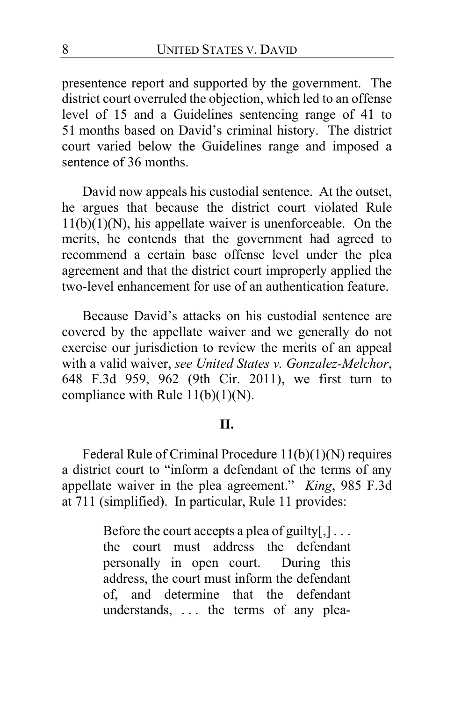presentence report and supported by the government. The district court overruled the objection, which led to an offense level of 15 and a Guidelines sentencing range of 41 to 51 months based on David's criminal history. The district court varied below the Guidelines range and imposed a sentence of 36 months.

David now appeals his custodial sentence. At the outset, he argues that because the district court violated Rule  $11(b)(1)(N)$ , his appellate waiver is unenforceable. On the merits, he contends that the government had agreed to recommend a certain base offense level under the plea agreement and that the district court improperly applied the two-level enhancement for use of an authentication feature.

Because David's attacks on his custodial sentence are covered by the appellate waiver and we generally do not exercise our jurisdiction to review the merits of an appeal with a valid waiver, *see United States v. Gonzalez-Melchor*, 648 F.3d 959, 962 (9th Cir. 2011), we first turn to compliance with Rule  $11(b)(1)(N)$ .

#### **II.**

Federal Rule of Criminal Procedure 11(b)(1)(N) requires a district court to "inform a defendant of the terms of any appellate waiver in the plea agreement." *King*, 985 F.3d at 711 (simplified). In particular, Rule 11 provides:

> Before the court accepts a plea of guilty $[$ , $]$ ... the court must address the defendant personally in open court. During this address, the court must inform the defendant of, and determine that the defendant understands, ... the terms of any plea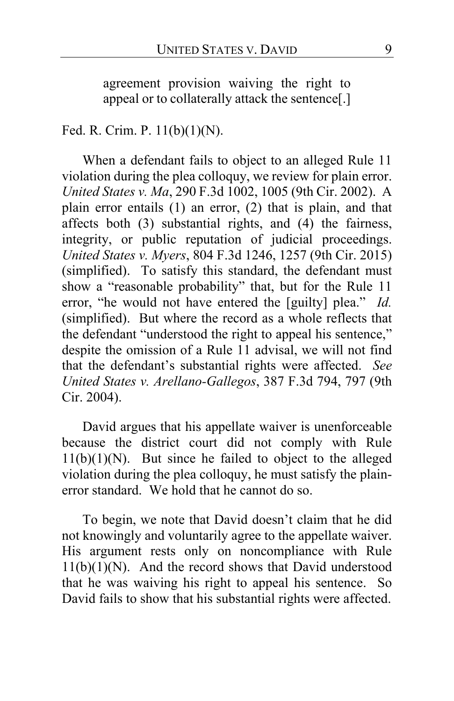agreement provision waiving the right to appeal or to collaterally attack the sentence[.]

### Fed. R. Crim. P. 11(b)(1)(N).

When a defendant fails to object to an alleged Rule 11 violation during the plea colloquy, we review for plain error. *United States v. Ma*, 290 F.3d 1002, 1005 (9th Cir. 2002). A plain error entails (1) an error, (2) that is plain, and that affects both (3) substantial rights, and (4) the fairness, integrity, or public reputation of judicial proceedings. *United States v. Myers*, 804 F.3d 1246, 1257 (9th Cir. 2015) (simplified). To satisfy this standard, the defendant must show a "reasonable probability" that, but for the Rule 11 error, "he would not have entered the [guilty] plea." *Id.* (simplified). But where the record as a whole reflects that the defendant "understood the right to appeal his sentence," despite the omission of a Rule 11 advisal, we will not find that the defendant's substantial rights were affected. *See United States v. Arellano-Gallegos*, 387 F.3d 794, 797 (9th Cir. 2004).

David argues that his appellate waiver is unenforceable because the district court did not comply with Rule  $11(b)(1)(N)$ . But since he failed to object to the alleged violation during the plea colloquy, he must satisfy the plainerror standard. We hold that he cannot do so.

To begin, we note that David doesn't claim that he did not knowingly and voluntarily agree to the appellate waiver. His argument rests only on noncompliance with Rule  $11(b)(1)(N)$ . And the record shows that David understood that he was waiving his right to appeal his sentence. So David fails to show that his substantial rights were affected.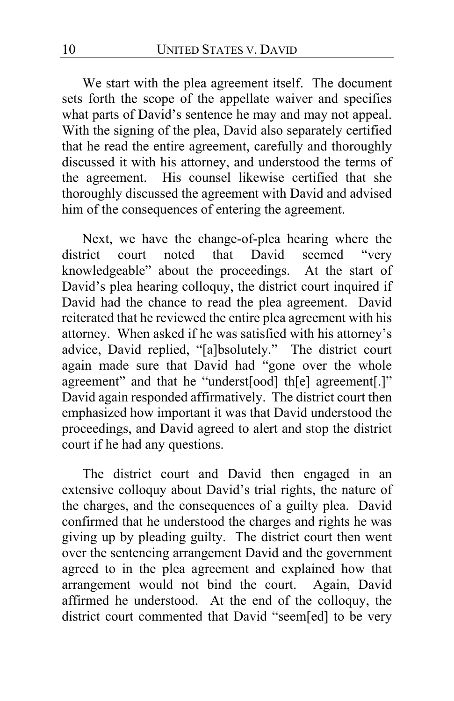We start with the plea agreement itself. The document sets forth the scope of the appellate waiver and specifies what parts of David's sentence he may and may not appeal. With the signing of the plea, David also separately certified that he read the entire agreement, carefully and thoroughly discussed it with his attorney, and understood the terms of the agreement. His counsel likewise certified that she thoroughly discussed the agreement with David and advised him of the consequences of entering the agreement.

Next, we have the change-of-plea hearing where the rict court noted that David seemed "very district court noted that David seemed "very knowledgeable" about the proceedings. At the start of David's plea hearing colloquy, the district court inquired if David had the chance to read the plea agreement. David reiterated that he reviewed the entire plea agreement with his attorney. When asked if he was satisfied with his attorney's advice, David replied, "[a]bsolutely." The district court again made sure that David had "gone over the whole agreement" and that he "underst[ood] th[e] agreement[.]" David again responded affirmatively. The district court then emphasized how important it was that David understood the proceedings, and David agreed to alert and stop the district court if he had any questions.

The district court and David then engaged in an extensive colloquy about David's trial rights, the nature of the charges, and the consequences of a guilty plea. David confirmed that he understood the charges and rights he was giving up by pleading guilty. The district court then went over the sentencing arrangement David and the government agreed to in the plea agreement and explained how that arrangement would not bind the court. Again, David affirmed he understood. At the end of the colloquy, the district court commented that David "seem[ed] to be very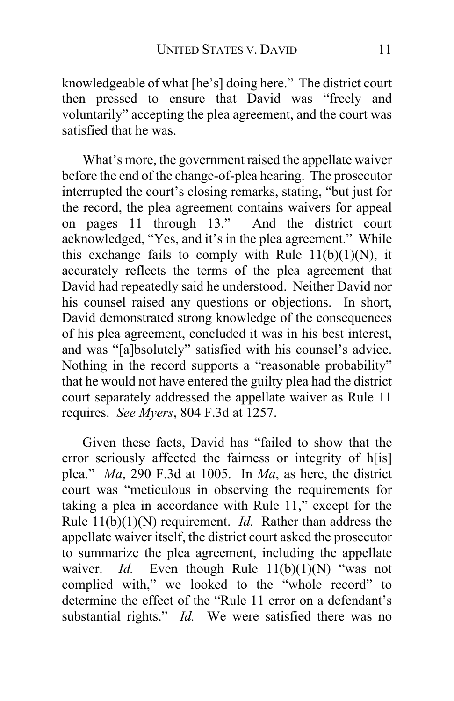knowledgeable of what [he's] doing here." The district court then pressed to ensure that David was "freely and voluntarily" accepting the plea agreement, and the court was satisfied that he was.

What's more, the government raised the appellate waiver before the end of the change-of-plea hearing. The prosecutor interrupted the court's closing remarks, stating, "but just for the record, the plea agreement contains waivers for appeal on pages 11 through 13." And the district court acknowledged, "Yes, and it's in the plea agreement." While this exchange fails to comply with Rule  $11(b)(1)(N)$ , it accurately reflects the terms of the plea agreement that David had repeatedly said he understood. Neither David nor his counsel raised any questions or objections. In short, David demonstrated strong knowledge of the consequences of his plea agreement, concluded it was in his best interest, and was "[a]bsolutely" satisfied with his counsel's advice. Nothing in the record supports a "reasonable probability" that he would not have entered the guilty plea had the district court separately addressed the appellate waiver as Rule 11 requires. *See Myers*, 804 F.3d at 1257.

Given these facts, David has "failed to show that the error seriously affected the fairness or integrity of h[is] plea." *Ma*, 290 F.3d at 1005. In *Ma*, as here, the district court was "meticulous in observing the requirements for taking a plea in accordance with Rule 11," except for the Rule 11(b)(1)(N) requirement. *Id.* Rather than address the appellate waiver itself, the district court asked the prosecutor to summarize the plea agreement, including the appellate waiver. *Id.* Even though Rule 11(b)(1)(N) "was not complied with," we looked to the "whole record" to determine the effect of the "Rule 11 error on a defendant's substantial rights." *Id.* We were satisfied there was no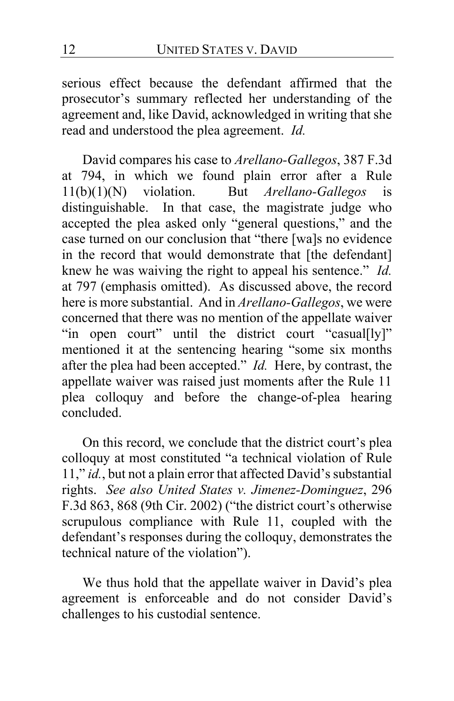serious effect because the defendant affirmed that the prosecutor's summary reflected her understanding of the agreement and, like David, acknowledged in writing that she read and understood the plea agreement. *Id.*

David compares his case to *Arellano-Gallegos*, 387 F.3d at 794, in which we found plain error after a Rule  $11(b)(1)(N)$  violation. But *Arellano-Gallegos* is 11(b)(1)(N) violation. But *Arellano-Gallegos* is distinguishable. In that case, the magistrate judge who accepted the plea asked only "general questions," and the case turned on our conclusion that "there [wa]s no evidence in the record that would demonstrate that [the defendant] knew he was waiving the right to appeal his sentence." *Id.* at 797 (emphasis omitted). As discussed above, the record here is more substantial. And in *Arellano-Gallegos*, we were concerned that there was no mention of the appellate waiver "in open court" until the district court "casual[ly]" mentioned it at the sentencing hearing "some six months after the plea had been accepted." *Id.* Here, by contrast, the appellate waiver was raised just moments after the Rule 11 plea colloquy and before the change-of-plea hearing concluded.

On this record, we conclude that the district court's plea colloquy at most constituted "a technical violation of Rule 11," *id.*, but not a plain error that affected David's substantial rights. *See also United States v. Jimenez-Dominguez*, 296 F.3d 863, 868 (9th Cir. 2002) ("the district court's otherwise scrupulous compliance with Rule 11, coupled with the defendant's responses during the colloquy, demonstrates the technical nature of the violation").

We thus hold that the appellate waiver in David's plea agreement is enforceable and do not consider David's challenges to his custodial sentence.